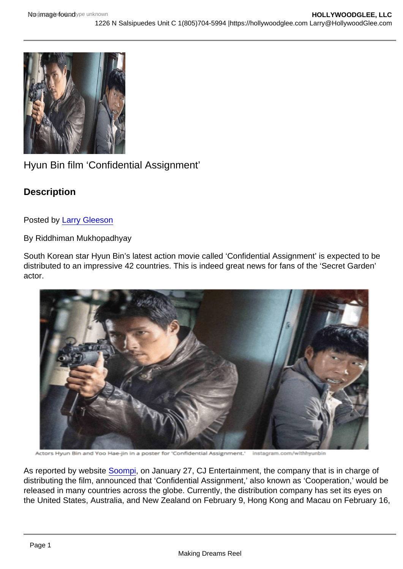## Hyun Bin film 'Confidential Assignment'

**Description** 

Posted by [Larry Gleeson](http://sbccfilmreviews.org/?s=Larry+Gleeson)

By Riddhiman Mukhopadhyay

South Korean star Hyun Bin's latest action movie called 'Confidential Assignment' is expected to be distributed to an impressive 42 countries. This is indeed great news for fans of the 'Secret Garden' actor.

As reported by website [Soompi](https://www.soompi.com/2017/01/27/hyun-bins-confidential-assignment-screen-40-countries/), on January 27, CJ Entertainment, the company that is in charge of distributing the film, announced that 'Confidential Assignment,' also known as 'Cooperation,' would be released in many countries across the globe. Currently, the distribution company has set its eyes on the United States, Australia, and New Zealand on February 9, Hong Kong and Macau on February 16,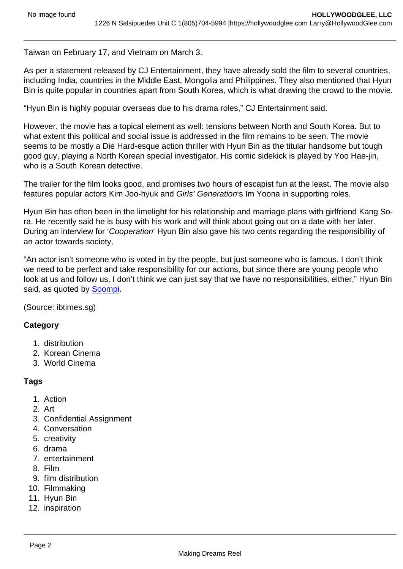Taiwan on February 17, and Vietnam on March 3.

As per a statement released by CJ Entertainment, they have already sold the film to several countries, including India, countries in the Middle East, Mongolia and Philippines. They also mentioned that Hyun Bin is quite popular in countries apart from South Korea, which is what drawing the crowd to the movie.

"Hyun Bin is highly popular overseas due to his drama roles," CJ Entertainment said.

However, the movie has a topical element as well: tensions between North and South Korea. But to what extent this political and social issue is addressed in the film remains to be seen. The movie seems to be mostly a Die Hard-esque action thriller with Hyun Bin as the titular handsome but tough good guy, playing a North Korean special investigator. His comic sidekick is played by Yoo Hae-jin, who is a South Korean detective.

The trailer for the film looks good, and promises two hours of escapist fun at the least. The movie also features popular actors Kim Joo-hyuk and Girls' Generation's Im Yoona in supporting roles.

Hyun Bin has often been in the limelight for his relationship and marriage plans with girlfriend Kang Sora. He recently said he is busy with his work and will think about going out on a date with her later. During an interview for 'Cooperation' Hyun Bin also gave his two cents regarding the responsibility of an actor towards society.

"An actor isn't someone who is voted in by the people, but just someone who is famous. I don't think we need to be perfect and take responsibility for our actions, but since there are young people who look at us and follow us, I don't think we can just say that we have no responsibilities, either," Hyun Bin said, as quoted by [Soompi](https://www.soompi.com/2017/01/22/hyun-bin-reflects-on-his-life-in-the-public-eye-including-in-his-relationship-with-kang-sora/).

(Source: ibtimes.sg)

**Category** 

- 1. distribution
- 2. Korean Cinema
- 3. World Cinema

## Tags

- 1. Action
- 2. Art
- 3. Confidential Assignment
- 4. Conversation
- 5. creativity
- 6. drama
- 7. entertainment
- 8. Film
- 9. film distribution
- 10. Filmmaking
- 11. Hyun Bin
- 12. inspiration